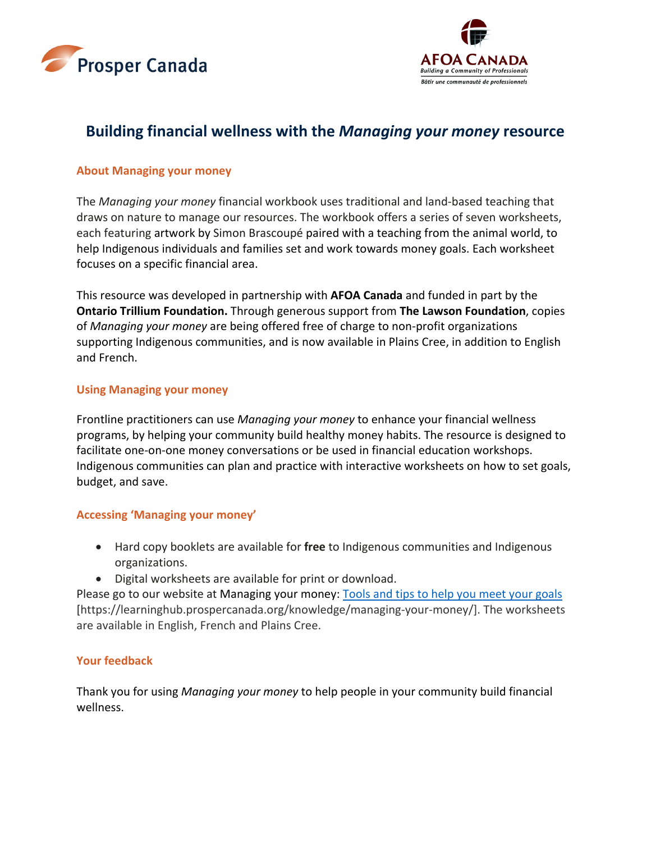



# **Building financial wellness with the** *Managing your money* **resource**

# **About Managing your money**

The *Managing your money* financial workbook uses traditional and land-based teaching that draws on nature to manage our resources. The workbook offers a series of seven worksheets, each featuring artwork by Simon Brascoupé paired with a teaching from the animal world, to help Indigenous individuals and families set and work towards money goals. Each worksheet focuses on a specific financial area.

This resource was developed in partnership with **AFOA Canada** and funded in part by the **Ontario Trillium Foundation.** Through generous support from **The Lawson Foundation**, copies of *Managing your money* are being offered free of charge to non-profit organizations supporting Indigenous communities, and is now available in Plains Cree, in addition to English and French.

### **Using Managing your money**

Frontline practitioners can use *Managing your money* to enhance your financial wellness programs, by helping your community build healthy money habits. The resource is designed to facilitate one-on-one money conversations or be used in financial education workshops. Indigenous communities can plan and practice with interactive worksheets on how to set goals, budget, and save.

# **Accessing 'Managing your money'**

- Hard copy booklets are available for **free** to Indigenous communities and Indigenous organizations.
- Digital worksheets are available for print or download.

Please go to our website at [Managing your money: Tools and tips to help you meet your goals](https://learninghub.prospercanada.org/knowledge/managing-your-money/) [https://learninghub.prospercanada.org/knowledge/managing-your-money/]. The worksheets are available in English, French and Plains Cree.

# **Your feedback**

Thank you for using *Managing your money* to help people in your community build financial wellness.